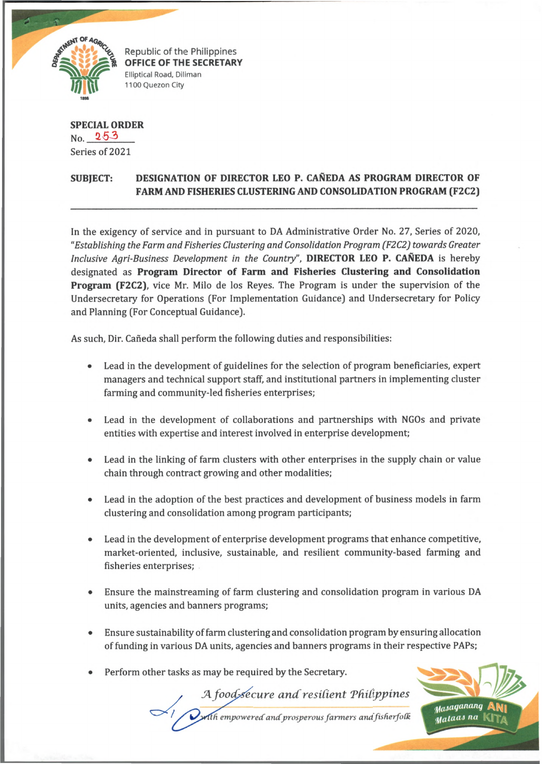

*£* Republic of the Philippines **OFFICE OF THE SECRETARY Elliptical Road, Diliman** 1100 Quezon City

**SPECIAL ORDER**  $N_{0}$ . 253 Series of 2021

## **SUBJECT: DESIGNATION OF DIRECTOR LEO P. CANEDA AS PROGRAM DIRECTOR OF FARM AND FISHERIES CLUSTERING AND CONSOLIDATION PROGRAM (F2C2)**

In the exigency of service and in pursuant to DA Administrative Order No. 27, Series of 2020, *"Establishing the Farm and Fisheries Clustering and Consolidation Program (F2C2) towards Greater Inclusive Agri-Business Development in the Country",* **DIRECTOR LEO P. CANEDA** is hereby designated as **Program Director of Farm and Fisheries Clustering and Consolidation Program (F2C2),** vice Mr. Milo de los Reyes. The Program is under the supervision of the Undersecretary for Operations (For Implementation Guidance) and Undersecretary for Policy and Planning (For Conceptual Guidance).

As such, Dir. Cañeda shall perform the following duties and responsibilities:

- Lead in the development of guidelines for the selection of program beneficiaries, expert managers and technical support staff, and institutional partners in implementing cluster farming and community-led fisheries enterprises;
- Lead in the development of collaborations and partnerships with NGOs and private entities with expertise and interest involved in enterprise development;
- Lead in the linking of farm clusters with other enterprises in the supply chain or value chain through contract growing and other modalities;
- Lead in the adoption of the best practices and development of business models in farm clustering and consolidation among program participants;
- Lead in the development of enterprise development programs that enhance competitive, market-oriented, inclusive, sustainable, and resilient community-based farming and fisheries enterprises;
- Ensure the mainstreaming of farm clustering and consolidation program in various DA units, agencies and banners programs;
- Ensure sustainability of farm clustering and consolidation program by ensuring allocation of funding in various DA units, agencies and banners programs in their respective PAPs;

A food*s*ecure and resilient Phili

*h empowered andprosperous farmers and*

• Perform other tasks as may be required by the Secretary.

y<sub>asaganang</sub> uataas na